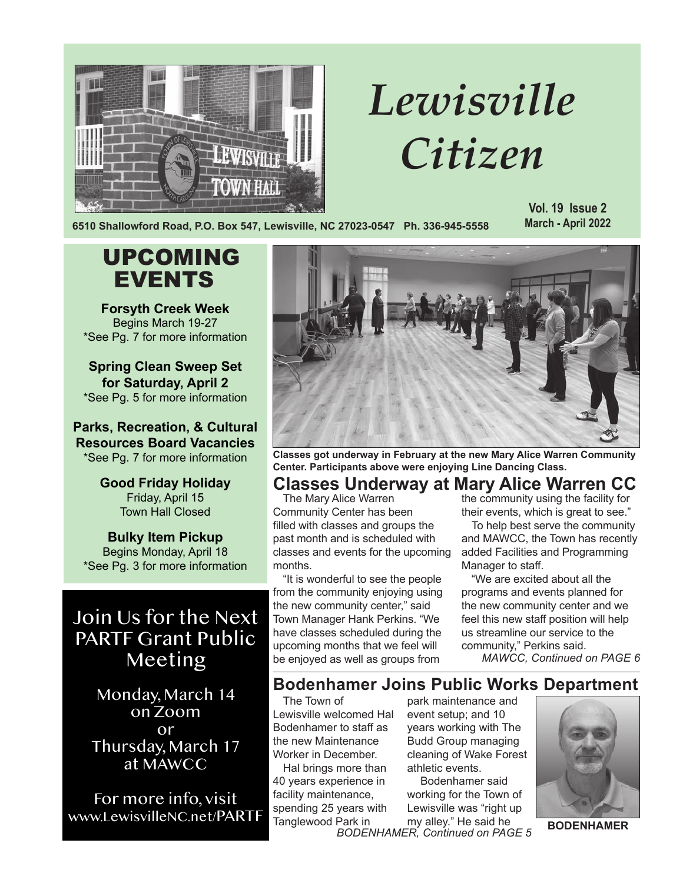

# *Lewisville Citizen*

**6510 Shallowford Road, P.O. Box 547, Lewisville, NC 27023-0547 Ph. 336-945-5558**

**Vol. 19 Issue 2 March - April 2022**

# UPCOMING EVENTS

**Forsyth Creek Week** Begins March 19-27 \*See Pg. 7 for more information

**Spring Clean Sweep Set for Saturday, April 2** \*See Pg. 5 for more information

**Parks, Recreation, & Cultural Resources Board Vacancies** \*See Pg. 7 for more information

> **Good Friday Holiday** Friday, April 15 Town Hall Closed

**Bulky Item Pickup** Begins Monday, April 18 \*See Pg. 3 for more information

## Join Us for the Next PARTF Grant Public Meeting

Monday, March 14 on Zoom or Thursday, March 17 at MAWCC

For more info, visit www.LewisvilleNC.net/PARTF



**Classes got underway in February at the new Mary Alice Warren Community Center. Participants above were enjoying Line Dancing Class.**

### **Classes Underway at Mary Alice Warren CC**

The Mary Alice Warren Community Center has been filled with classes and groups the past month and is scheduled with classes and events for the upcoming months.

"It is wonderful to see the people from the community enjoying using the new community center," said Town Manager Hank Perkins. "We have classes scheduled during the upcoming months that we feel will be enjoyed as well as groups from

the community using the facility for their events, which is great to see."

To help best serve the community and MAWCC, the Town has recently added Facilities and Programming Manager to staff.

"We are excited about all the programs and events planned for the new community center and we feel this new staff position will help us streamline our service to the community," Perkins said.

*MAWCC, Continued on PAGE 6*

### **Bodenhamer Joins Public Works Department**

The Town of Lewisville welcomed Hal Bodenhamer to staff as the new Maintenance Worker in December.

Hal brings more than 40 years experience in facility maintenance, spending 25 years with Tanglewood Park in

park maintenance and event setup; and 10 years working with The Budd Group managing cleaning of Wake Forest athletic events.

*BODENHAMER, Continued on PAGE 5* Bodenhamer said working for the Town of Lewisville was "right up my alley." He said he



**BODENHAMER**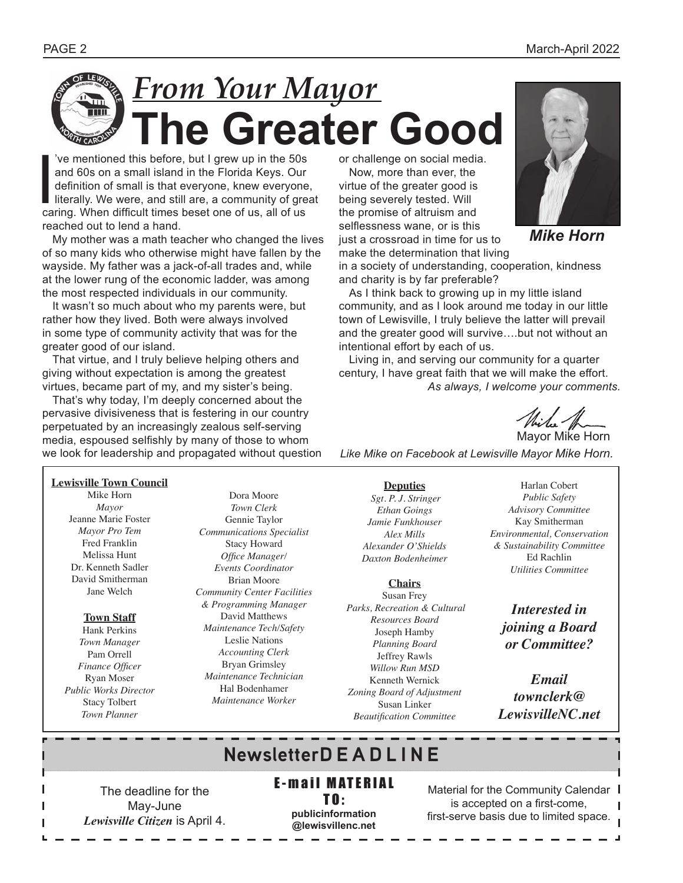# *From Your Mayor* **The Greater Good**

Ve mentioned this before, but I grew up in the 50s<br>and 60s on a small island in the Florida Keys. Our<br>definition of small is that everyone, knew everyone<br>literally. We were, and still are, a community of gre<br>caring. When d 've mentioned this before, but I grew up in the 50s and 60s on a small island in the Florida Keys. Our definition of small is that everyone, knew everyone, literally. We were, and still are, a community of great reached out to lend a hand.

My mother was a math teacher who changed the lives of so many kids who otherwise might have fallen by the wayside. My father was a jack-of-all trades and, while at the lower rung of the economic ladder, was among the most respected individuals in our community.

It wasn't so much about who my parents were, but rather how they lived. Both were always involved in some type of community activity that was for the greater good of our island.

That virtue, and I truly believe helping others and giving without expectation is among the greatest virtues, became part of my, and my sister's being.

That's why today, I'm deeply concerned about the pervasive divisiveness that is festering in our country perpetuated by an increasingly zealous self-serving media, espoused selfishly by many of those to whom we look for leadership and propagated without question or challenge on social media.

Now, more than ever, the virtue of the greater good is being severely tested. Will the promise of altruism and selflessness wane, or is this just a crossroad in time for us to make the determination that living



*Mike Horn*

in a society of understanding, cooperation, kindness and charity is by far preferable?

As I think back to growing up in my little island community, and as I look around me today in our little town of Lewisville, I truly believe the latter will prevail and the greater good will survive….but not without an intentional effort by each of us.

Living in, and serving our community for a quarter century, I have great faith that we will make the effort. *As always, I welcome your comments.*

While Hom

*Like Mike on Facebook at Lewisville Mayor Mike Horn.*

**Lewisville Town Council** Mike Horn *Mayor* Jeanne Marie Foster *Mayor Pro Tem* Fred Franklin Melissa Hunt Dr. Kenneth Sadler David Smitherman Jane Welch

#### **Town Staff**

Hank Perkins *Town Manager* Pam Orrell *Finance Officer* Ryan Moser *Public Works Director* Stacy Tolbert *Town Planner*

Dora Moore *Town Clerk* Gennie Taylor *Communications Specialist* Stacy Howard *Office Manager/ Events Coordinator* Brian Moore *Community Center Facilities & Programming Manager* David Matthews *Maintenance Tech/Safety* Leslie Nations *Accounting Clerk* Bryan Grimsley *Maintenance Technician* Hal Bodenhamer *Maintenance Worker* 

**Deputies**  *Sgt. P. J. Stringer Ethan Goings Jamie Funkhouser Alex Mills Alexander O'Shields Daxton Bodenheimer*

**Chairs** Susan Frey  *Parks, Recreation & Cultural Resources Board* Joseph Hamby *Planning Board* Jeffrey Rawls *Willow Run MSD* Kenneth Wernick *Zoning Board of Adjustment*  Susan Linker *Beautification Committee*

Harlan Cobert *Public Safety Advisory Committee* Kay Smitherman *Environmental, Conservation & Sustainability Committee* Ed Rachlin *Utilities Committee*

*Interested in joining a Board or Committee?* 

*Email townclerk@ LewisvilleNC.net*

# **NewsletterD E A D L I N E**

The deadline for the May-June *Lewisville Citizen* is April 4. **E-mail MATERIAL** 

TO: **publicinformation @lewisvillenc.net**

Material for the Community Calendar I is accepted on a first-come, first-serve basis due to limited space.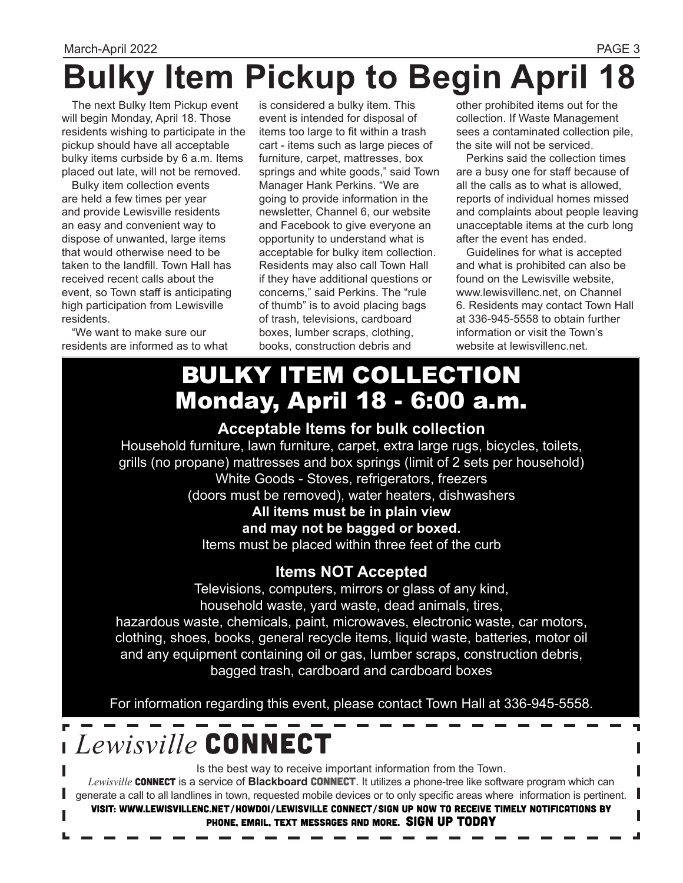# **Bulky Item Pickup to Begin April**

The next Bulky Item Pickup event will begin Monday, April 18. Those residents wishing to participate in the pickup should have all acceptable bulky items curbside by 6 a.m. Items placed out late, will not be removed.

Bulky item collection events are held a few times per year and provide Lewisville residents an easy and convenient way to dispose of unwanted, large items that would otherwise need to be taken to the landfill. Town Hall has received recent calls about the event, so Town staff is anticipating high participation from Lewisville residents.

"We want to make sure our residents are informed as to what is considered a bulky item. This event is intended for disposal of items too large to fit within a trash cart - items such as large pieces of furniture, carpet, mattresses, box springs and white goods," said Town Manager Hank Perkins. "We are going to provide information in the newsletter, Channel 6, our website and Facebook to give everyone an opportunity to understand what is acceptable for bulky item collection. Residents may also call Town Hall if they have additional questions or concerns," said Perkins. The "rule of thumb" is to avoid placing bags of trash, televisions, cardboard boxes, lumber scraps, clothing, books, construction debris and

other prohibited items out for the collection. If Waste Management sees a contaminated collection pile, the site will not be serviced.

Perkins said the collection times are a busy one for staff because of all the calls as to what is allowed, reports of individual homes missed and complaints about people leaving unacceptable items at the curb long after the event has ended.

Guidelines for what is accepted and what is prohibited can also be found on the Lewisville website, www.lewisvillenc.net, on Channel 6. Residents may contact Town Hall at 336-945-5558 to obtain further information or visit the Town's website at lewisvillenc.net.

# BULKY ITEM COLLECTION Monday, April 18 - 6:00 a.m.

### **Acceptable Items for bulk collection**

Household furniture, lawn furniture, carpet, extra large rugs, bicycles, toilets, grills (no propane) mattresses and box springs (limit of 2 sets per household) White Goods - Stoves, refrigerators, freezers (doors must be removed), water heaters, dishwashers **All items must be in plain view** 

**and may not be bagged or boxed.** 

Items must be placed within three feet of the curb

### **Items NOT Accepted**

Televisions, computers, mirrors or glass of any kind, household waste, yard waste, dead animals, tires,

hazardous waste, chemicals, paint, microwaves, electronic waste, car motors, clothing, shoes, books, general recycle items, liquid waste, batteries, motor oil and any equipment containing oil or gas, lumber scraps, construction debris, bagged trash, cardboard and cardboard boxes

For information regarding this event, please contact Town Hall at 336-945-5558.

# *Lewisville* CONNECT

Is the best way to receive important information from the Town. Lewisville **CONNECT** is a service of **Blackboard CONNECT**. It utilizes a phone-tree like software program which can generate a call to all landlines in town, requested mobile devices or to only specific areas where information is pertinent. Visit: www.lewisvillenc.net/HowDoI/Lewisville Connect/Sign up now to receive timely notifications by phone, email, text messages and more. SIGN UP TODAY

┛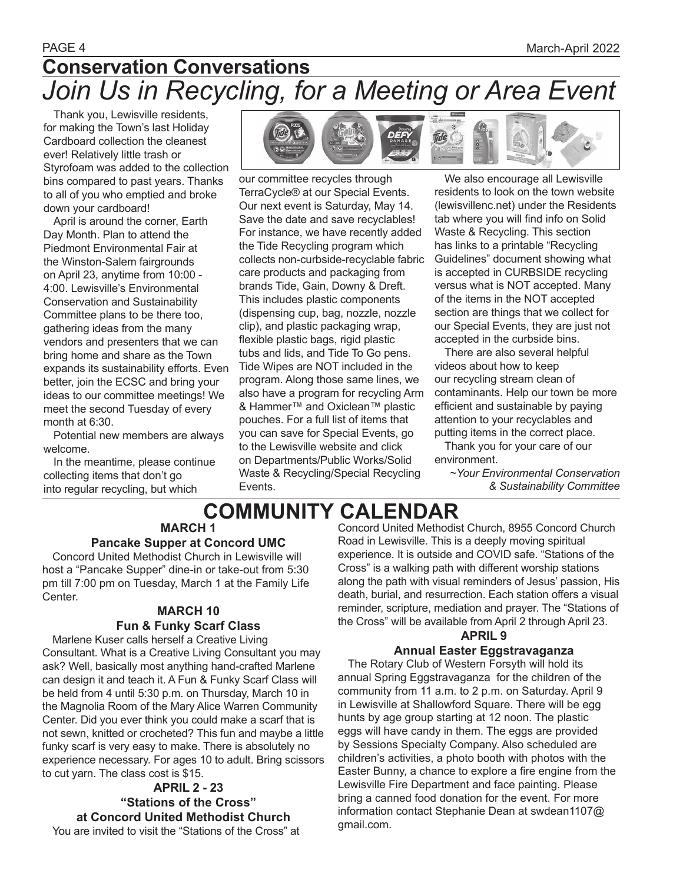## PAGE 4 March-April 2022 **Conservation Conversations** *Join Us in Recycling, for a Meeting or Area Event*

Thank you, Lewisville residents, for making the Town's last Holiday Cardboard collection the cleanest ever! Relatively little trash or Styrofoam was added to the collection bins compared to past years. Thanks to all of you who emptied and broke down your cardboard!

April is around the corner, Earth Day Month. Plan to attend the Piedmont Environmental Fair at the Winston-Salem fairgrounds on April 23, anytime from 10:00 - 4:00. Lewisville's Environmental Conservation and Sustainability Committee plans to be there too, gathering ideas from the many vendors and presenters that we can bring home and share as the Town expands its sustainability efforts. Even better, join the ECSC and bring your ideas to our committee meetings! We meet the second Tuesday of every month at 6:30.

Potential new members are always welcome.

In the meantime, please continue collecting items that don't go into regular recycling, but which

Center.



our committee recycles through TerraCycle® at our Special Events. Our next event is Saturday, May 14. Save the date and save recyclables! For instance, we have recently added the Tide Recycling program which collects non-curbside-recyclable fabric care products and packaging from brands Tide, Gain, Downy & Dreft. This includes plastic components (dispensing cup, bag, nozzle, nozzle clip), and plastic packaging wrap, flexible plastic bags, rigid plastic tubs and lids, and Tide To Go pens. Tide Wipes are NOT included in the program. Along those same lines, we also have a program for recycling Arm & Hammer™ and Oxiclean™ plastic pouches. For a full list of items that you can save for Special Events, go to the Lewisville website and click on Departments/Public Works/Solid Waste & Recycling/Special Recycling Events.

We also encourage all Lewisville residents to look on the town website (lewisvillenc.net) under the Residents tab where you will find info on Solid Waste & Recycling. This section has links to a printable "Recycling Guidelines" document showing what is accepted in CURBSIDE recycling versus what is NOT accepted. Many of the items in the NOT accepted section are things that we collect for our Special Events, they are just not accepted in the curbside bins.

There are also several helpful videos about how to keep our recycling stream clean of contaminants. Help our town be more efficient and sustainable by paying attention to your recyclables and putting items in the correct place.

Thank you for your care of our environment.

*~Your Environmental Conservation & Sustainability Committee*

# **COMMUNITY CALENDAR**

**MARCH 1 Pancake Supper at Concord UMC**

Concord United Methodist Church in Lewisville will host a "Pancake Supper" dine-in or take-out from 5:30

### pm till 7:00 pm on Tuesday, March 1 at the Family Life

### **MARCH 10**

### **Fun & Funky Scarf Class**

Marlene Kuser calls herself a Creative Living Consultant. What is a Creative Living Consultant you may ask? Well, basically most anything hand-crafted Marlene can design it and teach it. A Fun & Funky Scarf Class will be held from 4 until 5:30 p.m. on Thursday, March 10 in the Magnolia Room of the Mary Alice Warren Community Center. Did you ever think you could make a scarf that is not sewn, knitted or crocheted? This fun and maybe a little funky scarf is very easy to make. There is absolutely no experience necessary. For ages 10 to adult. Bring scissors to cut yarn. The class cost is \$15.

**APRIL 2 - 23 "Stations of the Cross" at Concord United Methodist Church** You are invited to visit the "Stations of the Cross" at

Concord United Methodist Church, 8955 Concord Church Road in Lewisville. This is a deeply moving spiritual experience. It is outside and COVID safe. "Stations of the Cross" is a walking path with different worship stations along the path with visual reminders of Jesus' passion, His death, burial, and resurrection. Each station offers a visual reminder, scripture, mediation and prayer. The "Stations of the Cross" will be available from April 2 through April 23.

### **APRIL 9**

### **Annual Easter Eggstravaganza**

The Rotary Club of Western Forsyth will hold its annual Spring Eggstravaganza for the children of the community from 11 a.m. to 2 p.m. on Saturday. April 9 in Lewisville at Shallowford Square. There will be egg hunts by age group starting at 12 noon. The plastic eggs will have candy in them. The eggs are provided by Sessions Specialty Company. Also scheduled are children's activities, a photo booth with photos with the Easter Bunny, a chance to explore a fire engine from the Lewisville Fire Department and face painting. Please bring a canned food donation for the event. For more information contact Stephanie Dean at swdean1107@ gmail.com.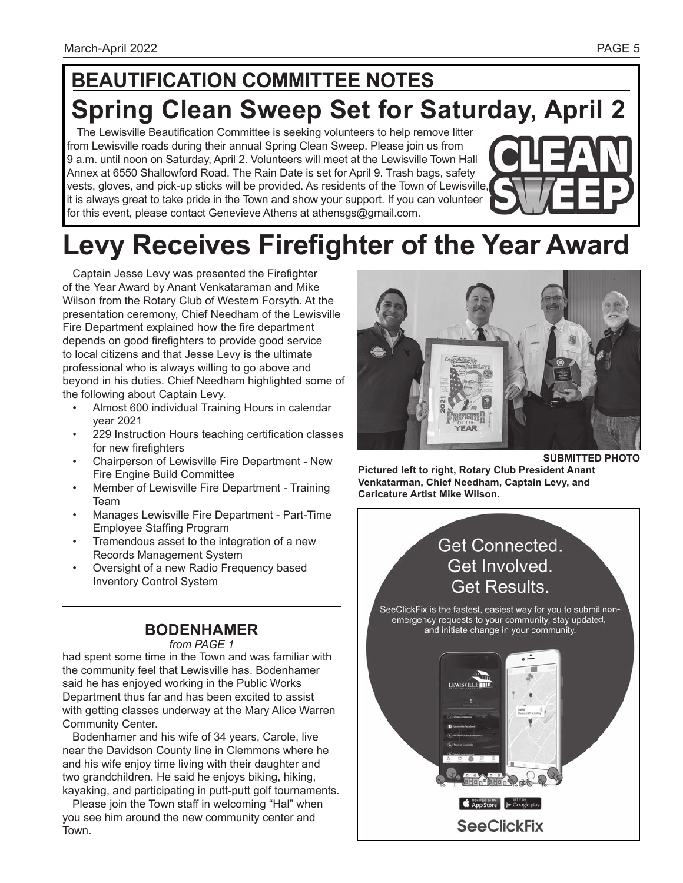# **BEAUTIFICATION COMMITTEE NOTES Spring Clean Sweep Set for Saturday, April 2**

The Lewisville Beautification Committee is seeking volunteers to help remove litter from Lewisville roads during their annual Spring Clean Sweep. Please join us from 9 a.m. until noon on Saturday, April 2. Volunteers will meet at the Lewisville Town Hall Annex at 6550 Shallowford Road. The Rain Date is set for April 9. Trash bags, safety vests, gloves, and pick-up sticks will be provided. As residents of the Town of Lewisville, it is always great to take pride in the Town and show your support. If you can volunteer for this event, please contact Genevieve Athens at athensgs@gmail.com.



# **Levy Receives Firefighter of the Year Award**

Captain Jesse Levy was presented the Firefighter of the Year Award by Anant Venkataraman and Mike Wilson from the Rotary Club of Western Forsyth. At the presentation ceremony, Chief Needham of the Lewisville Fire Department explained how the fire department depends on good firefighters to provide good service to local citizens and that Jesse Levy is the ultimate professional who is always willing to go above and beyond in his duties. Chief Needham highlighted some of the following about Captain Levy.

- Almost 600 individual Training Hours in calendar year 2021
- 229 Instruction Hours teaching certification classes for new firefighters
- Chairperson of Lewisville Fire Department New Fire Engine Build Committee
- Member of Lewisville Fire Department Training Team
- Manages Lewisville Fire Department Part-Time Employee Staffing Program
- Tremendous asset to the integration of a new Records Management System
- Oversight of a new Radio Frequency based Inventory Control System

### **BODENHAMER**

*from PAGE 1*

had spent some time in the Town and was familiar with the community feel that Lewisville has. Bodenhamer said he has enjoyed working in the Public Works Department thus far and has been excited to assist with getting classes underway at the Mary Alice Warren Community Center.

Bodenhamer and his wife of 34 years, Carole, live near the Davidson County line in Clemmons where he and his wife enjoy time living with their daughter and two grandchildren. He said he enjoys biking, hiking, kayaking, and participating in putt-putt golf tournaments.

Please join the Town staff in welcoming "Hal" when you see him around the new community center and Town.



**SUBMITTED PHOTO**

**Pictured left to right, Rotary Club President Anant Venkatarman, Chief Needham, Captain Levy, and Caricature Artist Mike Wilson.**

### Get Connected. Get Involved. **Get Results.**

SeeClickFix is the fastest, easiest way for you to submit nonemergency requests to your community, stay updated, and initiate change in your community.

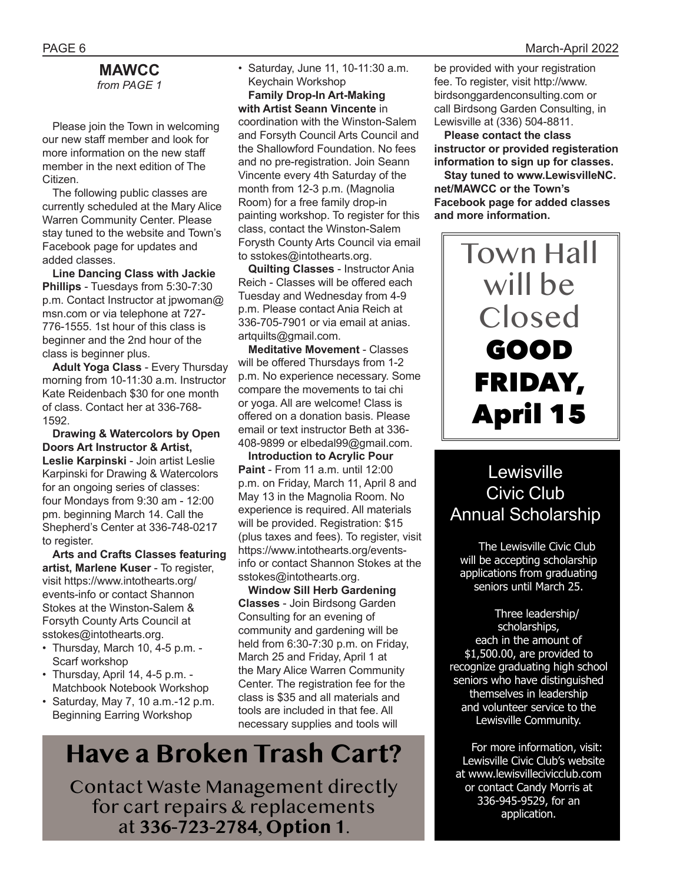### **MAWCC** *from PAGE 1*

Please join the Town in welcoming our new staff member and look for more information on the new staff member in the next edition of The Citizen.

The following public classes are currently scheduled at the Mary Alice Warren Community Center. Please stay tuned to the website and Town's Facebook page for updates and added classes.

**Line Dancing Class with Jackie Phillips** - Tuesdays from 5:30-7:30 p.m. Contact Instructor at jpwoman@ msn.com or via telephone at 727- 776-1555. 1st hour of this class is beginner and the 2nd hour of the class is beginner plus.

**Adult Yoga Class** - Every Thursday morning from 10-11:30 a.m. Instructor Kate Reidenbach \$30 for one month of class. Contact her at 336-768- 1592.

**Drawing & Watercolors by Open Doors Art Instructor & Artist, Leslie Karpinski** - Join artist Leslie Karpinski for Drawing & Watercolors for an ongoing series of classes: four Mondays from 9:30 am - 12:00 pm. beginning March 14. Call the Shepherd's Center at 336-748-0217 to register.

**Arts and Crafts Classes featuring artist, Marlene Kuser** - To register, visit https://www.intothearts.org/ events-info or contact Shannon Stokes at the Winston-Salem & Forsyth County Arts Council at sstokes@intothearts.org.

- Thursday, March 10, 4-5 p.m. Scarf workshop
- Thursday, April 14, 4-5 p.m. Matchbook Notebook Workshop
- Saturday, May 7, 10 a.m.-12 p.m. Beginning Earring Workshop

• Saturday, June 11, 10-11:30 a.m. Keychain Workshop

**Family Drop-In Art-Making with Artist Seann Vincente** in coordination with the Winston-Salem and Forsyth Council Arts Council and the Shallowford Foundation. No fees and no pre-registration. Join Seann Vincente every 4th Saturday of the month from 12-3 p.m. (Magnolia Room) for a free family drop-in painting workshop. To register for this class, contact the Winston-Salem Forysth County Arts Council via email to sstokes@intothearts.org.

**Quilting Classes** - Instructor Ania Reich - Classes will be offered each Tuesday and Wednesday from 4-9 p.m. Please contact Ania Reich at 336-705-7901 or via email at anias. artquilts@gmail.com.

**Meditative Movement** - Classes will be offered Thursdays from 1-2 p.m. No experience necessary. Some compare the movements to tai chi or yoga. All are welcome! Class is offered on a donation basis. Please email or text instructor Beth at 336- 408-9899 or elbedal99@gmail.com.

**Introduction to Acrylic Pour Paint** - From 11 a.m. until 12:00 p.m. on Friday, March 11, April 8 and May 13 in the Magnolia Room. No experience is required. All materials will be provided. Registration: \$15 (plus taxes and fees). To register, visit https://www.intothearts.org/eventsinfo or contact Shannon Stokes at the sstokes@intothearts.org.

**Window Sill Herb Gardening Classes** - Join Birdsong Garden Consulting for an evening of community and gardening will be held from 6:30-7:30 p.m. on Friday, March 25 and Friday, April 1 at the Mary Alice Warren Community Center. The registration fee for the class is \$35 and all materials and tools are included in that fee. All necessary supplies and tools will

# **Have a Broken Trash Cart?**

Contact Waste Management directly for cart repairs & replacements at **336-723-2784**, **Option 1**.

be provided with your registration fee. To register, visit http://www. birdsonggardenconsulting.com or call Birdsong Garden Consulting, in Lewisville at (336) 504-8811.

**Please contact the class instructor or provided registeration information to sign up for classes.**

**Stay tuned to www.LewisvilleNC. net/MAWCC or the Town's Facebook page for added classes and more information.** 

# Town Hall will be Closed GOOD FRIDAY, April 15

## **Lewisville** Civic Club Annual Scholarship

 The Lewisville Civic Club will be accepting scholarship applications from graduating seniors until March 25.

 Three leadership/ scholarships, each in the amount of \$1,500.00, are provided to recognize graduating high school seniors who have distinguished themselves in leadership and volunteer service to the Lewisville Community.

 For more information, visit: Lewisville Civic Club's website at www.lewisvillecivicclub.com or contact Candy Morris at 336-945-9529, for an application.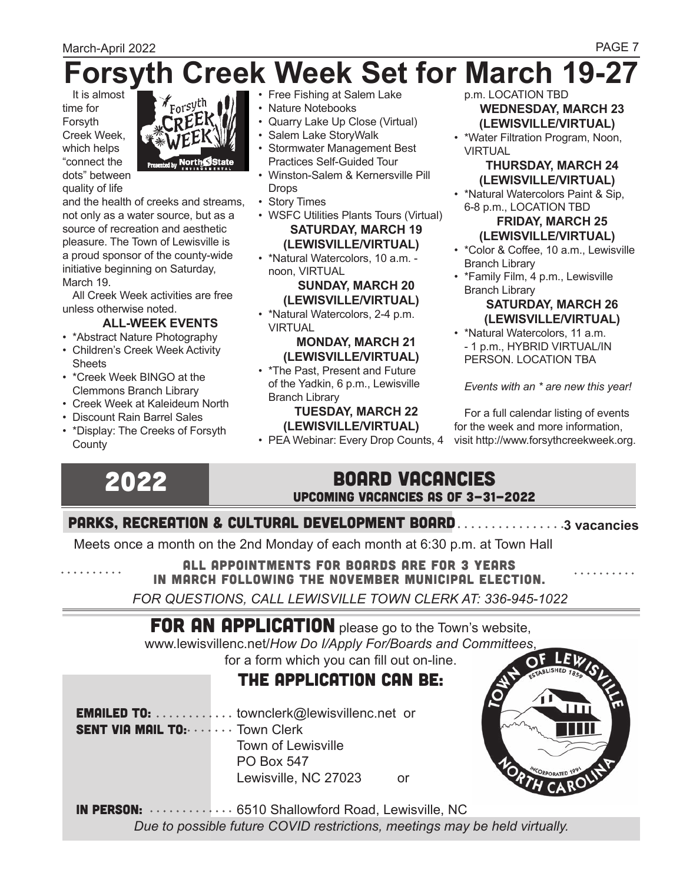# **Forsyth Creek Week Set for March 19-27**

It is almost time for Forsyth Creek Week, which helps "connect the dots" between quality of life



and the health of creeks and streams, not only as a water source, but as a source of recreation and aesthetic pleasure. The Town of Lewisville is a proud sponsor of the county-wide initiative beginning on Saturday, March 19.

All Creek Week activities are free unless otherwise noted.

### **ALL-WEEK EVENTS**

- \*Abstract Nature Photography
- Children's Creek Week Activity **Sheets**
- \*Creek Week BINGO at the Clemmons Branch Library
- Creek Week at Kaleideum North
- Discount Rain Barrel Sales
- \*Display: The Creeks of Forsyth **County**
- Free Fishing at Salem Lake
- Nature Notebooks
- Quarry Lake Up Close (Virtual)
- Salem Lake StoryWalk
- Stormwater Management Best Practices Self-Guided Tour
- Winston-Salem & Kernersville Pill **Drops**
- Story Times
- WSFC Utilities Plants Tours (Virtual) **SATURDAY, MARCH 19 (LEWISVILLE/VIRTUAL)**
- \*Natural Watercolors, 10 a.m. noon, VIRTUAL

### **SUNDAY, MARCH 20 (LEWISVILLE/VIRTUAL)**

• \*Natural Watercolors, 2-4 p.m. VIRTUAL

### **MONDAY, MARCH 21 (LEWISVILLE/VIRTUAL)**

• \*The Past, Present and Future of the Yadkin, 6 p.m., Lewisville Branch Library

### **TUESDAY, MARCH 22 (LEWISVILLE/VIRTUAL)**

p.m. LOCATION TBD **WEDNESDAY, MARCH 23 (LEWISVILLE/VIRTUAL)** 

• \*Water Filtration Program, Noon, **VIRTUAL** 

### **THURSDAY, MARCH 24 (LEWISVILLE/VIRTUAL)**

• \*Natural Watercolors Paint & Sip, 6-8 p.m., LOCATION TBD

#### **FRIDAY, MARCH 25 (LEWISVILLE/VIRTUAL)**

- \*Color & Coffee, 10 a.m., Lewisville Branch Library
- \*Family Film, 4 p.m., Lewisville Branch Library

### **SATURDAY, MARCH 26 (LEWISVILLE/VIRTUAL)**

• \*Natural Watercolors, 11 a.m. - 1 p.m., HYBRID VIRTUAL/IN PERSON. LOCATION TBA

*Events with an \* are new this year!* 

• PEA Webinar: Every Drop Counts, 4 visit http://www.forsythcreekweek.org.For a full calendar listing of events for the week and more information,

# 2022

### BOARD VACANCIES Upcoming Vacancies as of 3-31-2022

### PARKS, RECREATION & CULTURAL DEVELOPMENT BOARD . . . . . . . . . . . . . . . 3 vacancies

Meets once a month on the 2nd Monday of each month at 6:30 p.m. at Town Hall

ALL APPOINTMENTS FOR BOARDS ARE FOR 3 YEARS in March following the November municipal election.

*FOR QUESTIONS, CALL LEWISVILLE TOWN CLERK AT: 336-945-1022*

# FOR AN APPLICATION please go to the Town's website,

www.lewisvillenc.net/*How Do I/Apply For/Boards and Committees*,

## for a form which you can fill out on-line.

### the application can be:

**EMAILED TO:** ............... townclerk@lewisvillenc.net or SENT VIA MAIL TO: . . . . . . . Town Clerk Town of Lewisville PO Box 547

Lewisville, NC 27023 or



IN PERSON: .............. 6510 Shallowford Road, Lewisville, NC *Due to possible future COVID restrictions, meetings may be held virtually.*